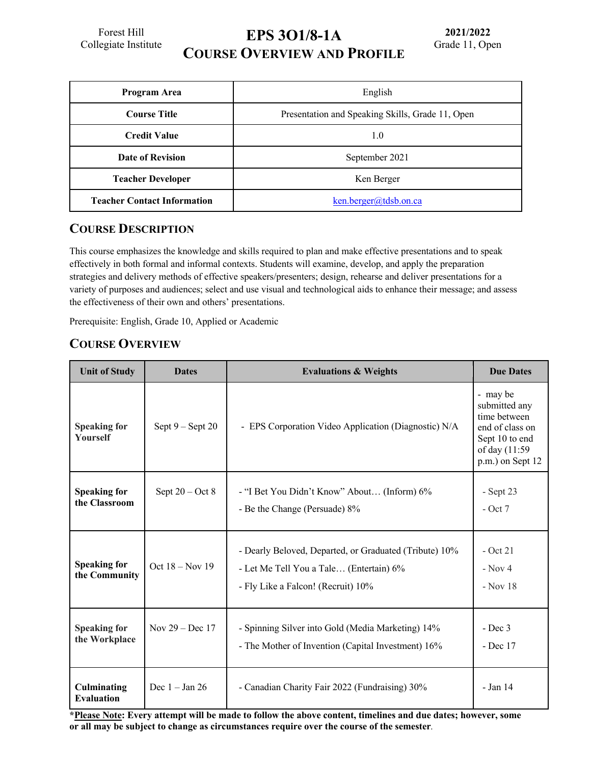Forest Hill Collegiate Institute **EPS 3O1/8-1A**

**COURSE OVERVIEW AND PROFILE**

| Program Area                       | English                                          |  |
|------------------------------------|--------------------------------------------------|--|
| <b>Course Title</b>                | Presentation and Speaking Skills, Grade 11, Open |  |
| <b>Credit Value</b>                | 1.0                                              |  |
| Date of Revision                   | September 2021                                   |  |
| <b>Teacher Developer</b>           | Ken Berger                                       |  |
| <b>Teacher Contact Information</b> | $ken.berger@tdsb.$ on.ca                         |  |

#### **COURSE DESCRIPTION**

This course emphasizes the knowledge and skills required to plan and make effective presentations and to speak effectively in both formal and informal contexts. Students will examine, develop, and apply the preparation strategies and delivery methods of effective speakers/presenters; design, rehearse and deliver presentations for a variety of purposes and audiences; select and use visual and technological aids to enhance their message; and assess the effectiveness of their own and others' presentations.

Prerequisite: English, Grade 10, Applied or Academic

### **COURSE OVERVIEW**

| <b>Unit of Study</b>                   | <b>Dates</b>       | <b>Evaluations &amp; Weights</b>                                                                                                        | <b>Due Dates</b>                                                                                                    |
|----------------------------------------|--------------------|-----------------------------------------------------------------------------------------------------------------------------------------|---------------------------------------------------------------------------------------------------------------------|
| <b>Speaking for</b><br><b>Yourself</b> | Sept $9 -$ Sept 20 | - EPS Corporation Video Application (Diagnostic) N/A                                                                                    | - may be<br>submitted any<br>time between<br>end of class on<br>Sept 10 to end<br>of day (11:59<br>p.m.) on Sept 12 |
| <b>Speaking for</b><br>the Classroom   | Sept $20 - Oct 8$  | - "I Bet You Didn't Know" About (Inform) 6%<br>- Be the Change (Persuade) 8%                                                            | - Sept 23<br>$-$ Oct 7                                                                                              |
| <b>Speaking for</b><br>the Community   | Oct $18 - Nov 19$  | - Dearly Beloved, Departed, or Graduated (Tribute) 10%<br>- Let Me Tell You a Tale (Entertain) 6%<br>- Fly Like a Falcon! (Recruit) 10% | $-$ Oct 21<br>$-$ Nov 4<br>$-$ Nov 18                                                                               |
| <b>Speaking for</b><br>the Workplace   | Nov $29 - Dec 17$  | - Spinning Silver into Gold (Media Marketing) 14%<br>- The Mother of Invention (Capital Investment) 16%                                 | $-$ Dec $3$<br>- Dec 17                                                                                             |
| Culminating<br><b>Evaluation</b>       | Dec $1 - Jan 26$   | - Canadian Charity Fair 2022 (Fundraising) 30%                                                                                          | - Jan 14                                                                                                            |

**\*Please Note: Every attempt will be made to follow the above content, timelines and due dates; however, some or all may be subject to change as circumstances require over the course of the semester***.*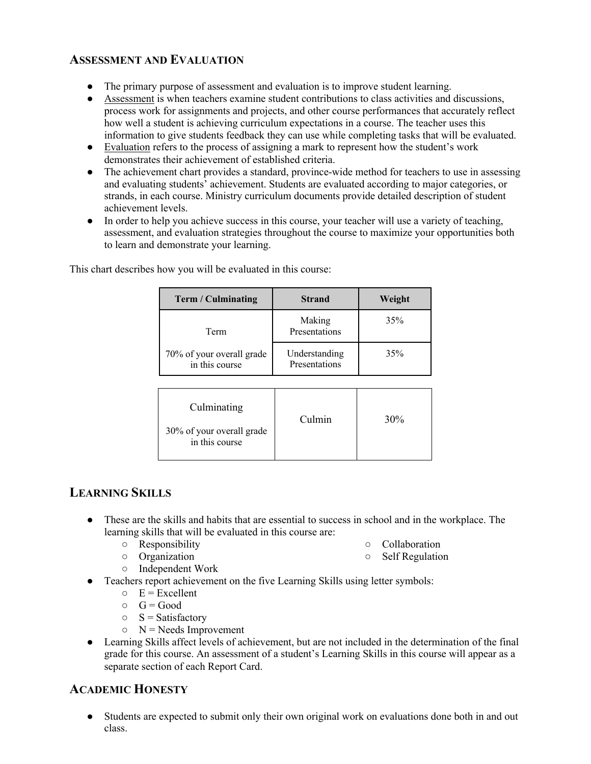#### **ASSESSMENT AND EVALUATION**

- The primary purpose of assessment and evaluation is to improve student learning.
- Assessment is when teachers examine student contributions to class activities and discussions, process work for assignments and projects, and other course performances that accurately reflect how well a student is achieving curriculum expectations in a course. The teacher uses this information to give students feedback they can use while completing tasks that will be evaluated.
- Evaluation refers to the process of assigning a mark to represent how the student's work demonstrates their achievement of established criteria.
- The achievement chart provides a standard, province-wide method for teachers to use in assessing and evaluating students' achievement. Students are evaluated according to major categories, or strands, in each course. Ministry curriculum documents provide detailed description of student achievement levels.
- In order to help you achieve success in this course, your teacher will use a variety of teaching, assessment, and evaluation strategies throughout the course to maximize your opportunities both to learn and demonstrate your learning.

| <b>Term / Culminating</b>                   | <b>Strand</b>                  | Weight |
|---------------------------------------------|--------------------------------|--------|
| Term                                        | Making<br>Presentations        | 35%    |
| 70% of your overall grade<br>in this course | Understanding<br>Presentations | 35%    |

This chart describes how you will be evaluated in this course:

| Culminating                                 | Culmin |     |
|---------------------------------------------|--------|-----|
| 30% of your overall grade<br>in this course |        | 30% |

# **LEARNING SKILLS**

- These are the skills and habits that are essential to success in school and in the workplace. The learning skills that will be evaluated in this course are:
	- Responsibility ○ Organization
- Collaboration
- Self Regulation
- Independent Work
- Teachers report achievement on the five Learning Skills using letter symbols:
	- $\circ$  E = Excellent
	- $\circ$  G = Good
	- $\circ$  S = Satisfactory
	- $\circ$  N = Needs Improvement
	- Learning Skills affect levels of achievement, but are not included in the determination of the final grade for this course. An assessment of a student's Learning Skills in this course will appear as a separate section of each Report Card.

# **ACADEMIC HONESTY**

● Students are expected to submit only their own original work on evaluations done both in and out class.